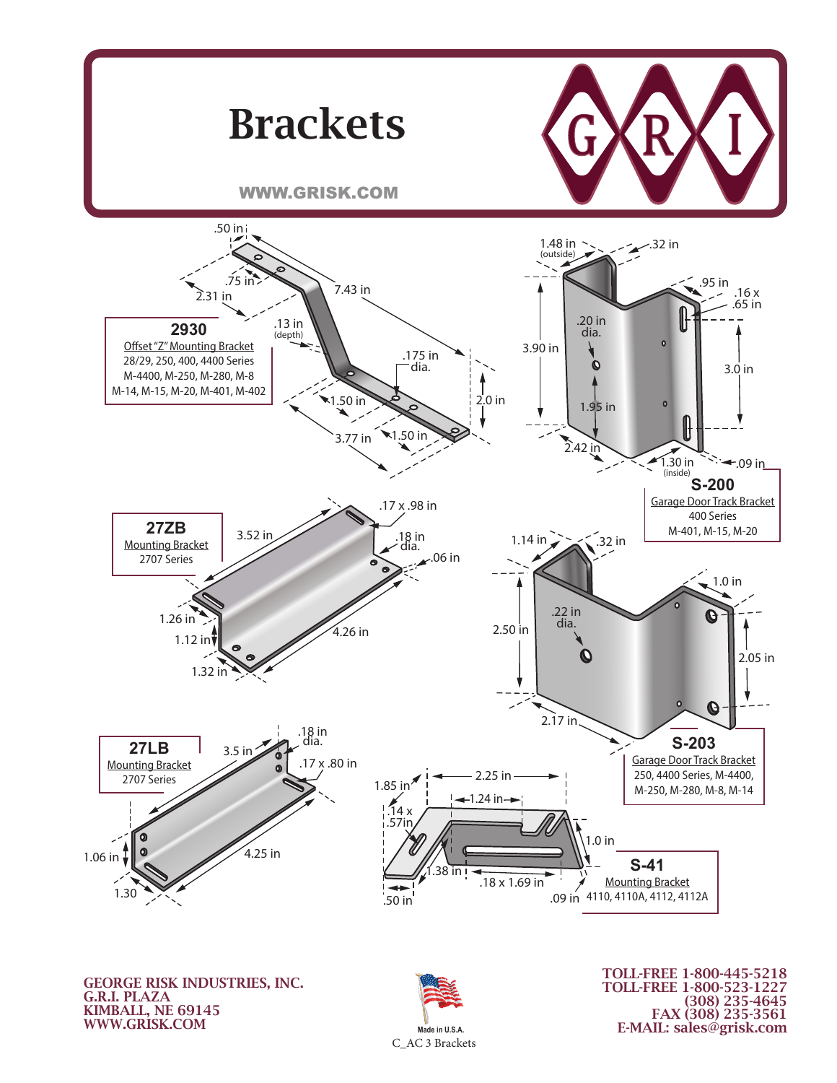

KIMBALL, NE 69145 WWW.GRISK.COM



(308) 235-4645 FAX (308) 235-3561 E-MAIL: sales@grisk.com